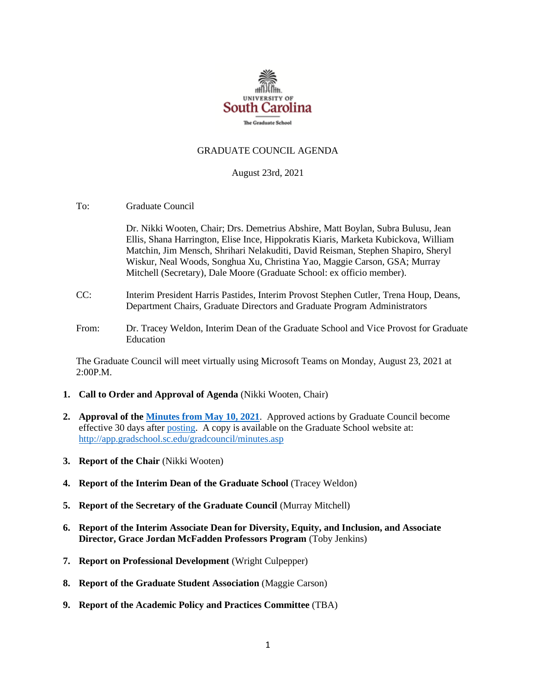

## GRADUATE COUNCIL AGENDA

### August 23rd, 2021

To: Graduate Council

Dr. Nikki Wooten, Chair; Drs. Demetrius Abshire, Matt Boylan, Subra Bulusu, Jean Ellis, Shana Harrington, Elise Ince, Hippokratis Kiaris, Marketa Kubickova, William Matchin, Jim Mensch, Shrihari Nelakuditi, David Reisman, Stephen Shapiro, Sheryl Wiskur, Neal Woods, Songhua Xu, Christina Yao, Maggie Carson, GSA; Murray Mitchell (Secretary), Dale Moore (Graduate School: ex officio member).

- CC: Interim President Harris Pastides, Interim Provost Stephen Cutler, Trena Houp, Deans, Department Chairs, Graduate Directors and Graduate Program Administrators
- From: Dr. Tracey Weldon, Interim Dean of the Graduate School and Vice Provost for Graduate Education

The Graduate Council will meet virtually using Microsoft Teams on Monday, August 23, 2021 at 2:00P.M.

- **1. Call to Order and Approval of Agenda** (Nikki Wooten, Chair)
- **2. Approval of th[e Minutes from May 10, 2021](GCMINUTES%205.10.21.%20MFM.pdf)**. Approved actions by Graduate Council become effective 30 days after [posting.](file://///COSSLAOthello.ds.sc.edu/MIRROR/GRAD/WANDAB/Profile/Documents/Agendas%20and%20Minutes/GCMINUTES4.26.21%20MFM.pdf) A copy is available on the Graduate School website at: <http://app.gradschool.sc.edu/gradcouncil/minutes.asp>
- **3. Report of the Chair** (Nikki Wooten)
- **4. Report of the Interim Dean of the Graduate School** (Tracey Weldon)
- **5. Report of the Secretary of the Graduate Council** (Murray Mitchell)
- **6. Report of the Interim Associate Dean for Diversity, Equity, and Inclusion, and Associate Director, Grace Jordan McFadden Professors Program** (Toby Jenkins)
- **7. Report on Professional Development** (Wright Culpepper)
- **8. Report of the Graduate Student Association** (Maggie Carson)
- **9. Report of the Academic Policy and Practices Committee** (TBA)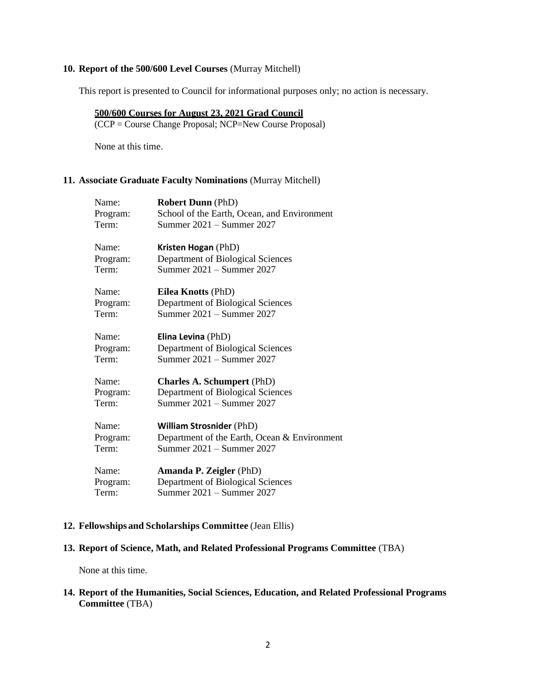### **10. Report of the 500/600 Level Courses** (Murray Mitchell)

This report is presented to Council for informational purposes only; no action is necessary.

# **500/600 Courses for August 23, 2021 Grad Council**

(CCP = Course Change Proposal; NCP=New Course Proposal)

None at this time.

## **11. Associate Graduate Faculty Nominations** (Murray Mitchell)

| Name:    | <b>Robert Dunn</b> (PhD)                     |
|----------|----------------------------------------------|
| Program: | School of the Earth, Ocean, and Environment  |
| Term:    | Summer 2021 - Summer 2027                    |
| Name:    | Kristen Hogan (PhD)                          |
| Program: | Department of Biological Sciences            |
| Term:    | Summer 2021 - Summer 2027                    |
| Name:    | Eilea Knotts (PhD)                           |
| Program: | Department of Biological Sciences            |
| Term:    | Summer 2021 - Summer 2027                    |
| Name:    | Elina Levina (PhD)                           |
| Program: | Department of Biological Sciences            |
| Term:    | Summer 2021 – Summer 2027                    |
| Name:    | <b>Charles A. Schumpert (PhD)</b>            |
| Program: | Department of Biological Sciences            |
| Term:    | Summer 2021 - Summer 2027                    |
| Name:    | <b>William Strosnider (PhD)</b>              |
| Program: | Department of the Earth, Ocean & Environment |
| Term:    | Summer 2021 – Summer 2027                    |
| Name:    | <b>Amanda P. Zeigler (PhD)</b>               |
| Program: | Department of Biological Sciences            |
| Term:    | Summer 2021 – Summer 2027                    |
|          |                                              |

### **12. Fellowships and Scholarships Committee** (Jean Ellis)

## **13. Report of Science, Math, and Related Professional Programs Committee** (TBA)

None at this time.

**14. Report of the Humanities, Social Sciences, Education, and Related Professional Programs Committee** (TBA)